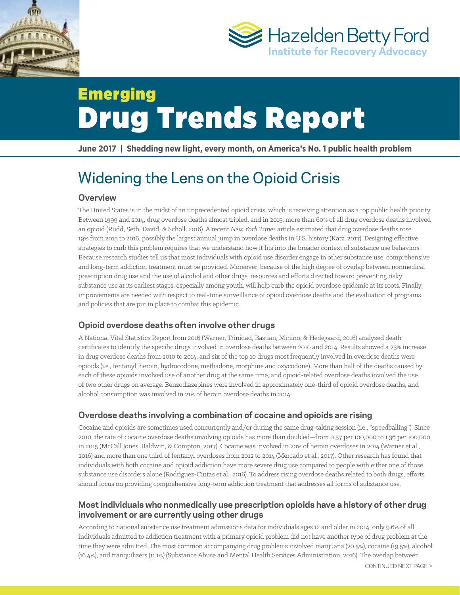



# Emerging Drug Trends Report

**June 2017 | Shedding new light, every month, on America's No. 1 public health problem**

# Widening the Lens on the Opioid Crisis

## **Overview**

The United States is in the midst of an unprecedented opioid crisis, which is receiving attention as a top public health priority. Between 1999 and 2014, drug overdose deaths almost tripled, and in 2015, more than 60% of all drug overdose deaths involved an opioid (Rudd, Seth, David, & Scholl, 2016). A recent *New York Times* article estimated that drug overdose deaths rose 19% from 2015 to 2016, possibly the largest annual jump in overdose deaths in U.S. history (Katz, 2017). Designing effective strategies to curb this problem requires that we understand how it fits into the broader context of substance use behaviors. Because research studies tell us that most individuals with opioid use disorder engage in other substance use, comprehensive and long-term addiction treatment must be provided. Moreover, because of the high degree of overlap between nonmedical prescription drug use and the use of alcohol and other drugs, resources and efforts directed toward preventing risky substance use at its earliest stages, especially among youth, will help curb the opioid overdose epidemic at its roots. Finally, improvements are needed with respect to real-time surveillance of opioid overdose deaths and the evaluation of programs and policies that are put in place to combat this epidemic.

# **Opioid overdose deaths often involve other drugs**

A National Vital Statistics Report from 2016 (Warner, Trinidad, Bastian, Minino, & Hedegaard, 2016) analyzed death certificates to identify the specific drugs involved in overdose deaths between 2010 and 2014. Results showed a 23% increase in drug overdose deaths from 2010 to 2014, and six of the top 10 drugs most frequently involved in overdose deaths were opioids (i.e., fentanyl, heroin, hydrocodone, methadone, morphine and oxycodone). More than half of the deaths caused by each of these opioids involved use of another drug at the same time, and opioid-related overdose deaths involved the use of two other drugs on average. Benzodiazepines were involved in approximately one-third of opioid overdose deaths, and alcohol consumption was involved in 21% of heroin overdose deaths in 2014.

## **Overdose deaths involving a combination of cocaine and opioids are rising**

Cocaine and opioids are sometimes used concurrently and/or during the same drug-taking session (i.e., "speedballing"). Since 2010, the rate of cocaine overdose deaths involving opioids has more than doubled—from 0.57 per 100,000 to 1.36 per 100,000 in 2015 (McCall Jones, Baldwin, & Compton, 2017). Cocaine was involved in 20% of heroin overdoses in 2014 (Warner et al., 2016) and more than one third of fentanyl overdoses from 2012 to 2014 (Mercado et al., 2017). Other research has found that individuals with both cocaine and opioid addiction have more severe drug use compared to people with either one of those substance use disorders alone (Rodríguez-Cintas et al., 2016). To address rising overdose deaths related to both drugs, efforts should focus on providing comprehensive long-term addiction treatment that addresses all forms of substance use.

### **Most individuals who nonmedically use prescription opioids have a history of other drug involvement or are currently using other drugs**

According to national substance use treatment admissions data for individuals ages 12 and older in 2014, only 9.6% of all individuals admitted to addiction treatment with a primary opioid problem did not have another type of drug problem at the time they were admitted. The most common accompanying drug problems involved marijuana (20.5%), cocaine (19.5%), alcohol (16.4%), and tranquilizers (11.1%) (Substance Abuse and Mental Health Services Administration, 2016). The overlap between

CONTINUED NEXT PAGE >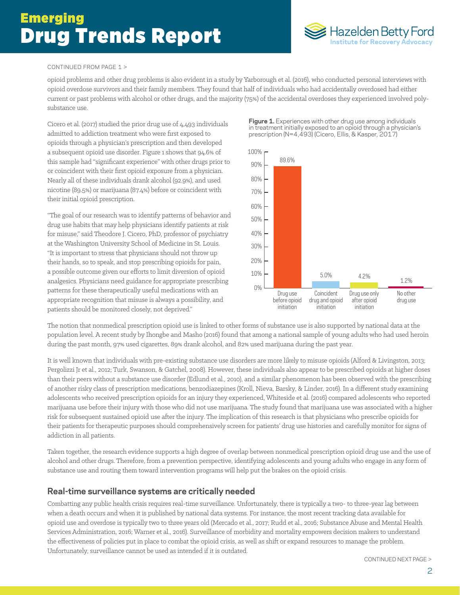

#### CONTINUED FROM PAGE 1 >

opioid problems and other drug problems is also evident in a study by Yarborough et al. (2016), who conducted personal interviews with opioid overdose survivors and their family members. They found that half of individuals who had accidentally overdosed had either current or past problems with alcohol or other drugs, and the majority (75%) of the accidental overdoses they experienced involved polysubstance use.

Cicero et al. (2017) studied the prior drug use of 4,493 individuals admitted to addiction treatment who were first exposed to opioids through a physician's prescription and then developed a subsequent opioid use disorder. Figure 1 shows that 94.6% of this sample had "significant experience" with other drugs prior to or coincident with their first opioid exposure from a physician. Nearly all of these individuals drank alcohol (92.9%), and used nicotine (89.5%) or marijuana (87.4%) before or coincident with their initial opioid prescription.

"The goal of our research was to identify patterns of behavior and drug use habits that may help physicians identify patients at risk for misuse," said Theodore J. Cicero, PhD, professor of psychiatry at the Washington University School of Medicine in St. Louis. "It is important to stress that physicians should not throw up their hands, so to speak, and stop prescribing opioids for pain, a possible outcome given our efforts to limit diversion of opioid analgesics. Physicians need guidance for appropriate prescribing patterns for these therapeutically useful medications with an appropriate recognition that misuse is always a possibility, and patients should be monitored closely, not deprived."

**Figure 1.** Experiences with other drug use among individuals in treatment initially exposed to an opioid through a physician's prescription (N=4,493) (Cicero, Ellis, & Kasper, 2017)



The notion that nonmedical prescription opioid use is linked to other forms of substance use is also supported by national data at the population level. A recent study by Ihongbe and Masho (2016) found that among a national sample of young adults who had used heroin during the past month, 97% used cigarettes, 89% drank alcohol, and 82% used marijuana during the past year.

It is well known that individuals with pre-existing substance use disorders are more likely to misuse opioids (Alford & Livingston, 2013; Pergolizzi Jr et al., 2012; Turk, Swanson, & Gatchel, 2008). However, these individuals also appear to be prescribed opioids at higher doses than their peers without a substance use disorder (Edlund et al., 2010), and a similar phenomenon has been observed with the prescribing of another risky class of prescription medications, benzodiazepines (Kroll, Nieva, Barsky, & Linder, 2016). In a different study examining adolescents who received prescription opioids for an injury they experienced, Whiteside et al. (2016) compared adolescents who reported marijuana use before their injury with those who did not use marijuana. The study found that marijuana use was associated with a higher risk for subsequent sustained opioid use after the injury. The implication of this research is that physicians who prescribe opioids for their patients for therapeutic purposes should comprehensively screen for patients' drug use histories and carefully monitor for signs of addiction in all patients.

Taken together, the research evidence supports a high degree of overlap between nonmedical prescription opioid drug use and the use of alcohol and other drugs. Therefore, from a prevention perspective, identifying adolescents and young adults who engage in any form of substance use and routing them toward intervention programs will help put the brakes on the opioid crisis.

#### **Real-time surveillance systems are critically needed**

Combatting any public health crisis requires real-time surveillance. Unfortunately, there is typically a two- to three-year lag between when a death occurs and when it is published by national data systems. For instance, the most recent tracking data available for opioid use and overdose is typically two to three years old (Mercado et al., 2017; Rudd et al., 2016; Substance Abuse and Mental Health Services Administration, 2016; Warner et al., 2016). Surveillance of morbidity and mortality empowers decision makers to understand the effectiveness of policies put in place to combat the opioid crisis, as well as shift or expand resources to manage the problem. Unfortunately, surveillance cannot be used as intended if it is outdated.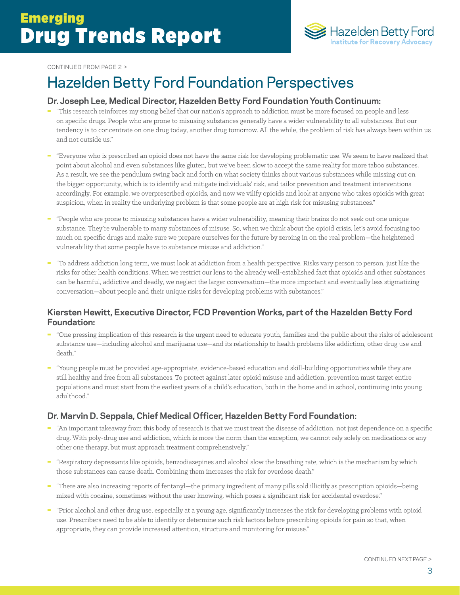

#### CONTINUED FROM PAGE 2 >

# Hazelden Betty Ford Foundation Perspectives

#### **Dr. Joseph Lee, Medical Director, Hazelden Betty Ford Foundation Youth Continuum:**

- "This research reinforces my strong belief that our nation's approach to addiction must be more focused on people and less on specific drugs. People who are prone to misusing substances generally have a wider vulnerability to all substances. But our tendency is to concentrate on one drug today, another drug tomorrow. All the while, the problem of risk has always been within us and not outside us."
- "Everyone who is prescribed an opioid does not have the same risk for developing problematic use. We seem to have realized that point about alcohol and even substances like gluten, but we've been slow to accept the same reality for more taboo substances. As a result, we see the pendulum swing back and forth on what society thinks about various substances while missing out on the bigger opportunity, which is to identify and mitigate individuals' risk, and tailor prevention and treatment interventions accordingly. For example, we overprescribed opioids, and now we vilify opioids and look at anyone who takes opioids with great suspicion, when in reality the underlying problem is that some people are at high risk for misusing substances."
- "People who are prone to misusing substances have a wider vulnerability, meaning their brains do not seek out one unique substance. They're vulnerable to many substances of misuse. So, when we think about the opioid crisis, let's avoid focusing too much on specific drugs and make sure we prepare ourselves for the future by zeroing in on the real problem—the heightened vulnerability that some people have to substance misuse and addiction."
- "To address addiction long term, we must look at addiction from a health perspective. Risks vary person to person, just like the risks for other health conditions. When we restrict our lens to the already well-established fact that opioids and other substances can be harmful, addictive and deadly, we neglect the larger conversation—the more important and eventually less stigmatizing conversation—about people and their unique risks for developing problems with substances."

#### **Kiersten Hewitt, Executive Director, FCD Prevention Works, part of the Hazelden Betty Ford Foundation:**

- "One pressing implication of this research is the urgent need to educate youth, families and the public about the risks of adolescent substance use—including alcohol and marijuana use—and its relationship to health problems like addiction, other drug use and death."
- "Young people must be provided age-appropriate, evidence-based education and skill-building opportunities while they are still healthy and free from all substances. To protect against later opioid misuse and addiction, prevention must target entire populations and must start from the earliest years of a child's education, both in the home and in school, continuing into young adulthood."

#### **Dr. Marvin D. Seppala, Chief Medical Officer, Hazelden Betty Ford Foundation:**

- "An important takeaway from this body of research is that we must treat the disease of addiction, not just dependence on a specific drug. With poly-drug use and addiction, which is more the norm than the exception, we cannot rely solely on medications or any other one therapy, but must approach treatment comprehensively."
- "Respiratory depressants like opioids, benzodiazepines and alcohol slow the breathing rate, which is the mechanism by which those substances can cause death. Combining them increases the risk for overdose death."
- "There are also increasing reports of fentanyl—the primary ingredient of many pills sold illicitly as prescription opioids—being mixed with cocaine, sometimes without the user knowing, which poses a significant risk for accidental overdose."
- "Prior alcohol and other drug use, especially at a young age, significantly increases the risk for developing problems with opioid use. Prescribers need to be able to identify or determine such risk factors before prescribing opioids for pain so that, when appropriate, they can provide increased attention, structure and monitoring for misuse."